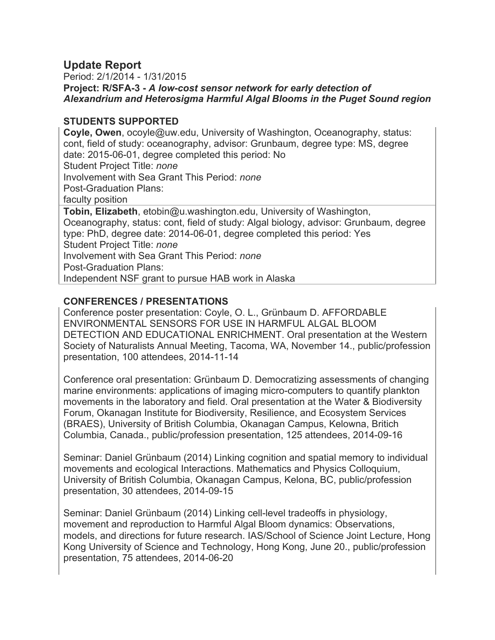# **Update Report**

Period: 2/1/2014 - 1/31/2015 **Project: R/SFA-3 -** *A low-cost sensor network for early detection of Alexandrium and Heterosigma Harmful Algal Blooms in the Puget Sound region*

# **STUDENTS SUPPORTED**

**Coyle, Owen**, ocoyle@uw.edu, University of Washington, Oceanography, status: cont, field of study: oceanography, advisor: Grunbaum, degree type: MS, degree date: 2015-06-01, degree completed this period: No Student Project Title: *none* Involvement with Sea Grant This Period: *none* Post-Graduation Plans: faculty position **Tobin, Elizabeth**, etobin@u.washington.edu, University of Washington, Oceanography, status: cont, field of study: Algal biology, advisor: Grunbaum, degree type: PhD, degree date: 2014-06-01, degree completed this period: Yes Student Project Title: *none* Involvement with Sea Grant This Period: *none* Post-Graduation Plans: Independent NSF grant to pursue HAB work in Alaska

# **CONFERENCES / PRESENTATIONS**

Conference poster presentation: Coyle, O. L., Grünbaum D. AFFORDABLE ENVIRONMENTAL SENSORS FOR USE IN HARMFUL ALGAL BLOOM DETECTION AND EDUCATIONAL ENRICHMENT. Oral presentation at the Western Society of Naturalists Annual Meeting, Tacoma, WA, November 14., public/profession presentation, 100 attendees, 2014-11-14

Conference oral presentation: Grünbaum D. Democratizing assessments of changing marine environments: applications of imaging micro-computers to quantify plankton movements in the laboratory and field. Oral presentation at the Water & Biodiversity Forum, Okanagan Institute for Biodiversity, Resilience, and Ecosystem Services (BRAES), University of British Columbia, Okanagan Campus, Kelowna, Britich Columbia, Canada., public/profession presentation, 125 attendees, 2014-09-16

Seminar: Daniel Grünbaum (2014) Linking cognition and spatial memory to individual movements and ecological Interactions. Mathematics and Physics Colloquium, University of British Columbia, Okanagan Campus, Kelona, BC, public/profession presentation, 30 attendees, 2014-09-15

Seminar: Daniel Grünbaum (2014) Linking cell-level tradeoffs in physiology, movement and reproduction to Harmful Algal Bloom dynamics: Observations, models, and directions for future research. IAS/School of Science Joint Lecture, Hong Kong University of Science and Technology, Hong Kong, June 20., public/profession presentation, 75 attendees, 2014-06-20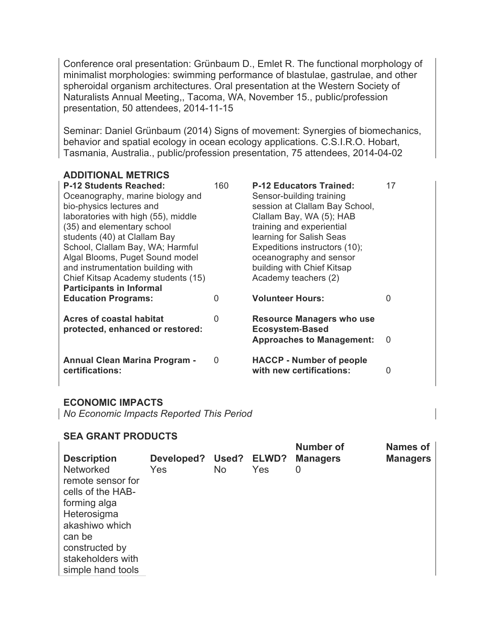Conference oral presentation: Grünbaum D., Emlet R. The functional morphology of minimalist morphologies: swimming performance of blastulae, gastrulae, and other spheroidal organism architectures. Oral presentation at the Western Society of Naturalists Annual Meeting,, Tacoma, WA, November 15., public/profession presentation, 50 attendees, 2014-11-15

Seminar: Daniel Grünbaum (2014) Signs of movement: Synergies of biomechanics, behavior and spatial ecology in ocean ecology applications. C.S.I.R.O. Hobart, Tasmania, Australia., public/profession presentation, 75 attendees, 2014-04-02

#### **ADDITIONAL METRICS P-12 Students Reached:** 160 **P-12 Educators Trained:** 17 Oceanography, marine biology and bio-physics lectures and laboratories with high (55), middle (35) and elementary school students (40) at Clallam Bay School, Clallam Bay, WA; Harmful Algal Blooms, Puget Sound model and instrumentation building with Chief Kitsap Academy students (15) Sensor-building training session at Clallam Bay School, Clallam Bay, WA (5); HAB training and experiential learning for Salish Seas Expeditions instructors (10); oceanography and sensor building with Chief Kitsap Academy teachers (2) **Participants in Informal Education Programs:** 0 **Volunteer Hours:** 0 **Acres of coastal habitat protected, enhanced or restored:**  0 **Resource Managers who use Ecosystem-Based Approaches to Management:** 0 **Annual Clean Marina Program certifications:**  0 **HACCP - Number of people with new certifications:** 0

### **ECONOMIC IMPACTS**

*No Economic Impacts Reported This Period*

### **SEA GRANT PRODUCTS**

| <b>Description</b><br><b>Networked</b><br>remote sensor for<br>cells of the HAB-<br>forming alga<br>Heterosigma<br>akashiwo which<br>can be<br>constructed by<br>stakeholders with | Developed?<br>Yes | <b>No</b> | Used? ELWD?<br>Yes | <b>Number of</b><br><b>Managers</b><br>0 | <b>Names of</b><br><b>Managers</b> |
|------------------------------------------------------------------------------------------------------------------------------------------------------------------------------------|-------------------|-----------|--------------------|------------------------------------------|------------------------------------|
| simple hand tools                                                                                                                                                                  |                   |           |                    |                                          |                                    |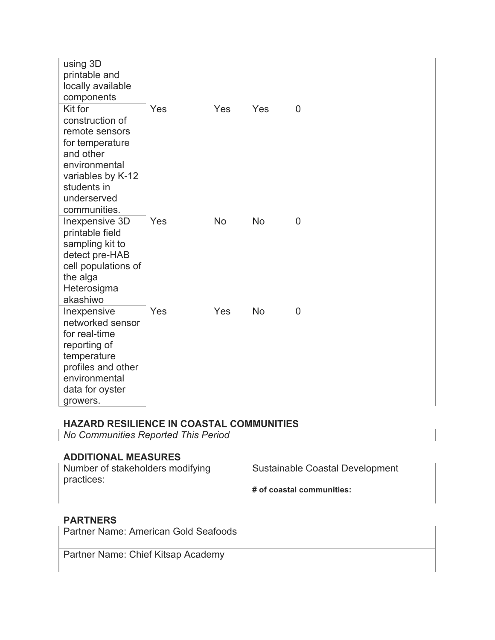| using 3D<br>printable and<br>locally available<br>components                                                                                                     |     |     |     |   |
|------------------------------------------------------------------------------------------------------------------------------------------------------------------|-----|-----|-----|---|
| Kit for<br>construction of<br>remote sensors<br>for temperature<br>and other<br>environmental<br>variables by K-12<br>students in<br>underserved<br>communities. | Yes | Yes | Yes | 0 |
| Inexpensive 3D<br>printable field<br>sampling kit to<br>detect pre-HAB<br>cell populations of<br>the alga<br>Heterosigma<br>akashiwo                             | Yes | No  | No  | 0 |
| Inexpensive<br>networked sensor<br>for real-time<br>reporting of<br>temperature<br>profiles and other<br>environmental<br>data for oyster<br>growers.            | Yes | Yes | No  | O |

# **HAZARD RESILIENCE IN COASTAL COMMUNITIES**

*No Communities Reported This Period*

# **ADDITIONAL MEASURES**

Number of stakeholders modifying practices:

Sustainable Coastal Development

**# of coastal communities:** 

## **PARTNERS**

Partner Name: American Gold Seafoods

Partner Name: Chief Kitsap Academy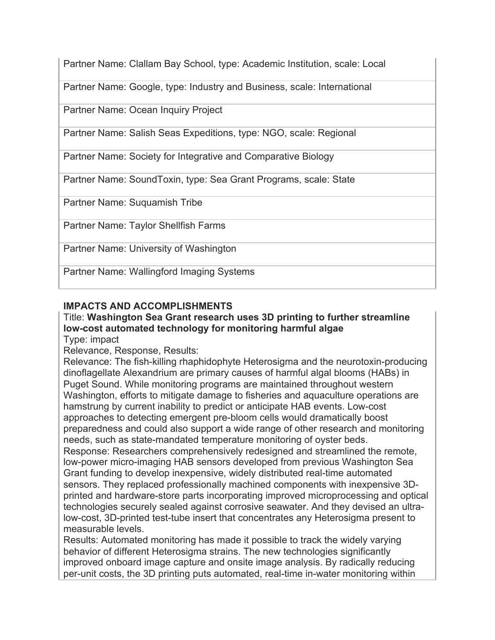Partner Name: Clallam Bay School, type: Academic Institution, scale: Local

Partner Name: Google, type: Industry and Business, scale: International

Partner Name: Ocean Inquiry Project

Partner Name: Salish Seas Expeditions, type: NGO, scale: Regional

Partner Name: Society for Integrative and Comparative Biology

Partner Name: SoundToxin, type: Sea Grant Programs, scale: State

Partner Name: Suquamish Tribe

Partner Name: Taylor Shellfish Farms

Partner Name: University of Washington

Partner Name: Wallingford Imaging Systems

# **IMPACTS AND ACCOMPLISHMENTS**

# Title: **Washington Sea Grant research uses 3D printing to further streamline low-cost automated technology for monitoring harmful algae**

Type: impact

Relevance, Response, Results:

Relevance: The fish-killing rhaphidophyte Heterosigma and the neurotoxin-producing dinoflagellate Alexandrium are primary causes of harmful algal blooms (HABs) in Puget Sound. While monitoring programs are maintained throughout western Washington, efforts to mitigate damage to fisheries and aquaculture operations are hamstrung by current inability to predict or anticipate HAB events. Low-cost approaches to detecting emergent pre-bloom cells would dramatically boost preparedness and could also support a wide range of other research and monitoring needs, such as state-mandated temperature monitoring of oyster beds.

Response: Researchers comprehensively redesigned and streamlined the remote, low-power micro-imaging HAB sensors developed from previous Washington Sea Grant funding to develop inexpensive, widely distributed real-time automated sensors. They replaced professionally machined components with inexpensive 3Dprinted and hardware-store parts incorporating improved microprocessing and optical technologies securely sealed against corrosive seawater. And they devised an ultralow-cost, 3D-printed test-tube insert that concentrates any Heterosigma present to measurable levels.

Results: Automated monitoring has made it possible to track the widely varying behavior of different Heterosigma strains. The new technologies significantly improved onboard image capture and onsite image analysis. By radically reducing per-unit costs, the 3D printing puts automated, real-time in-water monitoring within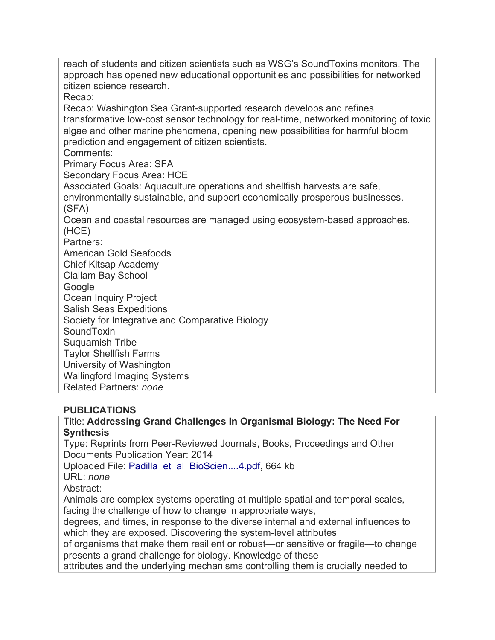approach has opened new educational opportunities and possibilities for networked citizen science research. Recap: Recap: Washington Sea Grant-supported research develops and refines transformative low-cost sensor technology for real-time, networked monitoring of toxic algae and other marine phenomena, opening new possibilities for harmful bloom prediction and engagement of citizen scientists. Comments: Primary Focus Area: SFA Secondary Focus Area: HCE Associated Goals: Aquaculture operations and shellfish harvests are safe, environmentally sustainable, and support economically prosperous businesses. (SFA) Ocean and coastal resources are managed using ecosystem-based approaches. (HCE) Partners: American Gold Seafoods Chief Kitsap Academy Clallam Bay School Google Ocean Inquiry Project Salish Seas Expeditions Society for Integrative and Comparative Biology **SoundToxin** Suquamish Tribe Taylor Shellfish Farms University of Washington

reach of students and citizen scientists such as WSG's SoundToxins monitors. The

Wallingford Imaging Systems

Related Partners: *none*

# **PUBLICATIONS**

# Title: **Addressing Grand Challenges In Organismal Biology: The Need For Synthesis**

Type: Reprints from Peer-Reviewed Journals, Books, Proceedings and Other Documents Publication Year: 2014

Uploaded File: Padilla\_et\_al\_BioScien....4.pdf, 664 kb

URL: *none*

Abstract:

Animals are complex systems operating at multiple spatial and temporal scales, facing the challenge of how to change in appropriate ways,

degrees, and times, in response to the diverse internal and external influences to which they are exposed. Discovering the system-level attributes

of organisms that make them resilient or robust—or sensitive or fragile—to change presents a grand challenge for biology. Knowledge of these

attributes and the underlying mechanisms controlling them is crucially needed to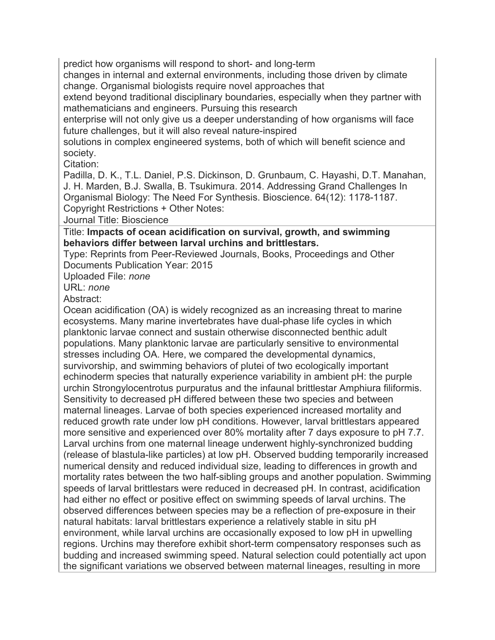predict how organisms will respond to short- and long-term

changes in internal and external environments, including those driven by climate change. Organismal biologists require novel approaches that

extend beyond traditional disciplinary boundaries, especially when they partner with mathematicians and engineers. Pursuing this research

enterprise will not only give us a deeper understanding of how organisms will face future challenges, but it will also reveal nature-inspired

solutions in complex engineered systems, both of which will benefit science and society.

Citation:

Padilla, D. K., T.L. Daniel, P.S. Dickinson, D. Grunbaum, C. Hayashi, D.T. Manahan, J. H. Marden, B.J. Swalla, B. Tsukimura. 2014. Addressing Grand Challenges In Organismal Biology: The Need For Synthesis. Bioscience. 64(12): 1178-1187. Copyright Restrictions + Other Notes:

Journal Title: Bioscience

Title: **Impacts of ocean acidification on survival, growth, and swimming behaviors differ between larval urchins and brittlestars.**

Type: Reprints from Peer-Reviewed Journals, Books, Proceedings and Other Documents Publication Year: 2015

Uploaded File: *none*

URL: *none*

Abstract:

Ocean acidification (OA) is widely recognized as an increasing threat to marine ecosystems. Many marine invertebrates have dual-phase life cycles in which planktonic larvae connect and sustain otherwise disconnected benthic adult populations. Many planktonic larvae are particularly sensitive to environmental stresses including OA. Here, we compared the developmental dynamics, survivorship, and swimming behaviors of plutei of two ecologically important echinoderm species that naturally experience variability in ambient pH: the purple urchin Strongylocentrotus purpuratus and the infaunal brittlestar Amphiura filiformis. Sensitivity to decreased pH differed between these two species and between maternal lineages. Larvae of both species experienced increased mortality and reduced growth rate under low pH conditions. However, larval brittlestars appeared more sensitive and experienced over 80% mortality after 7 days exposure to pH 7.7. Larval urchins from one maternal lineage underwent highly-synchronized budding (release of blastula-like particles) at low pH. Observed budding temporarily increased numerical density and reduced individual size, leading to differences in growth and mortality rates between the two half-sibling groups and another population. Swimming speeds of larval brittlestars were reduced in decreased pH. In contrast, acidification had either no effect or positive effect on swimming speeds of larval urchins. The observed differences between species may be a reflection of pre-exposure in their natural habitats: larval brittlestars experience a relatively stable in situ pH environment, while larval urchins are occasionally exposed to low pH in upwelling regions. Urchins may therefore exhibit short-term compensatory responses such as budding and increased swimming speed. Natural selection could potentially act upon the significant variations we observed between maternal lineages, resulting in more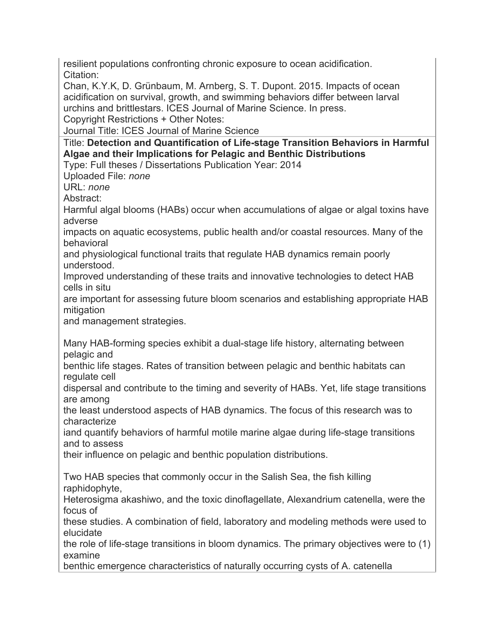resilient populations confronting chronic exposure to ocean acidification. Citation:

Chan, K.Y.K, D. Grünbaum, M. Arnberg, S. T. Dupont. 2015. Impacts of ocean acidification on survival, growth, and swimming behaviors differ between larval urchins and brittlestars. ICES Journal of Marine Science. In press.

Copyright Restrictions + Other Notes:

Journal Title: ICES Journal of Marine Science

Title: **Detection and Quantification of Life-stage Transition Behaviors in Harmful Algae and their Implications for Pelagic and Benthic Distributions**

Type: Full theses / Dissertations Publication Year: 2014

Uploaded File: *none*

URL: *none*

Abstract:

Harmful algal blooms (HABs) occur when accumulations of algae or algal toxins have adverse

impacts on aquatic ecosystems, public health and/or coastal resources. Many of the behavioral

and physiological functional traits that regulate HAB dynamics remain poorly understood.

Improved understanding of these traits and innovative technologies to detect HAB cells in situ

are important for assessing future bloom scenarios and establishing appropriate HAB mitigation

and management strategies.

Many HAB-forming species exhibit a dual-stage life history, alternating between pelagic and

benthic life stages. Rates of transition between pelagic and benthic habitats can regulate cell

dispersal and contribute to the timing and severity of HABs. Yet, life stage transitions are among

the least understood aspects of HAB dynamics. The focus of this research was to characterize

iand quantify behaviors of harmful motile marine algae during life-stage transitions and to assess

their influence on pelagic and benthic population distributions.

Two HAB species that commonly occur in the Salish Sea, the fish killing raphidophyte,

Heterosigma akashiwo, and the toxic dinoflagellate, Alexandrium catenella, were the focus of

these studies. A combination of field, laboratory and modeling methods were used to elucidate

the role of life-stage transitions in bloom dynamics. The primary objectives were to (1) examine

benthic emergence characteristics of naturally occurring cysts of A. catenella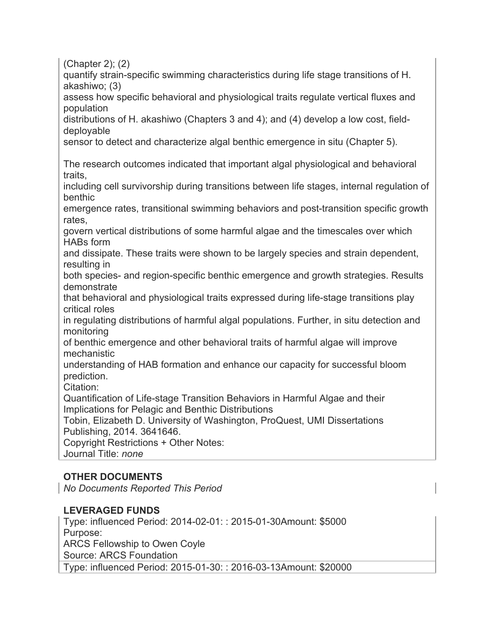(Chapter 2); (2)

quantify strain-specific swimming characteristics during life stage transitions of H. akashiwo; (3)

assess how specific behavioral and physiological traits regulate vertical fluxes and population

distributions of H. akashiwo (Chapters 3 and 4); and (4) develop a low cost, fielddeployable

sensor to detect and characterize algal benthic emergence in situ (Chapter 5).

The research outcomes indicated that important algal physiological and behavioral traits,

including cell survivorship during transitions between life stages, internal regulation of benthic

emergence rates, transitional swimming behaviors and post-transition specific growth rates,

govern vertical distributions of some harmful algae and the timescales over which HABs form

and dissipate. These traits were shown to be largely species and strain dependent, resulting in

both species- and region-specific benthic emergence and growth strategies. Results demonstrate

that behavioral and physiological traits expressed during life-stage transitions play critical roles

in regulating distributions of harmful algal populations. Further, in situ detection and monitoring

of benthic emergence and other behavioral traits of harmful algae will improve mechanistic

understanding of HAB formation and enhance our capacity for successful bloom prediction.

Citation:

Quantification of Life-stage Transition Behaviors in Harmful Algae and their Implications for Pelagic and Benthic Distributions

Tobin, Elizabeth D. University of Washington, ProQuest, UMI Dissertations Publishing, 2014. 3641646.

Copyright Restrictions + Other Notes: Journal Title: *none*

# **OTHER DOCUMENTS**

*No Documents Reported This Period*

# **LEVERAGED FUNDS**

Type: influenced Period: 2014-02-01: : 2015-01-30Amount: \$5000 Purpose: ARCS Fellowship to Owen Coyle Source: ARCS Foundation Type: influenced Period: 2015-01-30: : 2016-03-13Amount: \$20000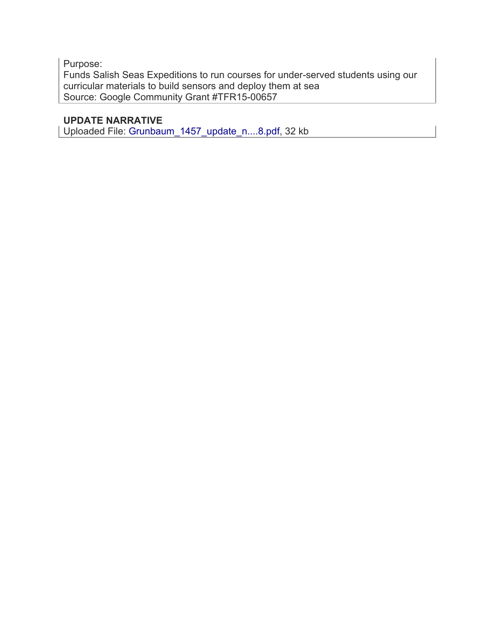Purpose: Funds Salish Seas Expeditions to run courses for under-served students using our curricular materials to build sensors and deploy them at sea Source: Google Community Grant #TFR15-00657

# **UPDATE NARRATIVE**

Uploaded File: Grunbaum\_1457\_update\_n....8.pdf, 32 kb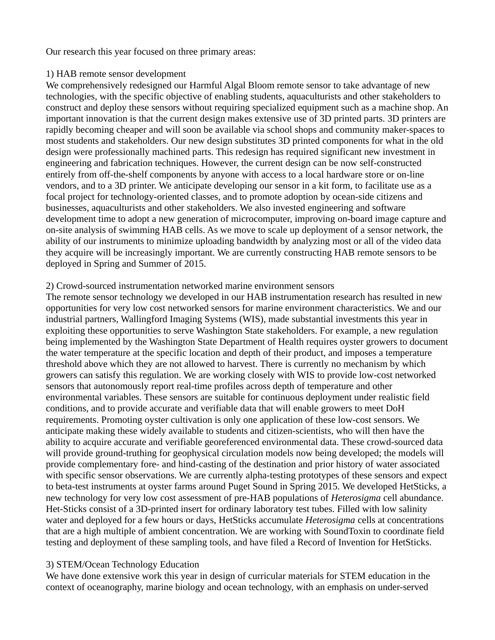Our research this year focused on three primary areas:

#### 1) HAB remote sensor development

We comprehensively redesigned our Harmful Algal Bloom remote sensor to take advantage of new technologies, with the specific objective of enabling students, aquaculturists and other stakeholders to construct and deploy these sensors without requiring specialized equipment such as a machine shop. An important innovation is that the current design makes extensive use of 3D printed parts. 3D printers are rapidly becoming cheaper and will soon be available via school shops and community maker-spaces to most students and stakeholders. Our new design substitutes 3D printed components for what in the old design were professionally machined parts. This redesign has required significant new investment in engineering and fabrication techniques. However, the current design can be now self-constructed entirely from off-the-shelf components by anyone with access to a local hardware store or on-line vendors, and to a 3D printer. We anticipate developing our sensor in a kit form, to facilitate use as a focal project for technology-oriented classes, and to promote adoption by ocean-side citizens and businesses, aquaculturists and other stakeholders. We also invested engineering and software development time to adopt a new generation of microcomputer, improving on-board image capture and on-site analysis of swimming HAB cells. As we move to scale up deployment of a sensor network, the ability of our instruments to minimize uploading bandwidth by analyzing most or all of the video data they acquire will be increasingly important. We are currently constructing HAB remote sensors to be deployed in Spring and Summer of 2015.

#### 2) Crowd-sourced instrumentation networked marine environment sensors

The remote sensor technology we developed in our HAB instrumentation research has resulted in new opportunities for very low cost networked sensors for marine environment characteristics. We and our industrial partners, Wallingford Imaging Systems (WIS), made substantial investments this year in exploiting these opportunities to serve Washington State stakeholders. For example, a new regulation being implemented by the Washington State Department of Health requires oyster growers to document the water temperature at the specific location and depth of their product, and imposes a temperature threshold above which they are not allowed to harvest. There is currently no mechanism by which growers can satisfy this regulation. We are working closely with WIS to provide low-cost networked sensors that autonomously report real-time profiles across depth of temperature and other environmental variables. These sensors are suitable for continuous deployment under realistic field conditions, and to provide accurate and verifiable data that will enable growers to meet DoH requirements. Promoting oyster cultivation is only one application of these low-cost sensors. We anticipate making these widely available to students and citizen-scientists, who will then have the ability to acquire accurate and verifiable georeferenced environmental data. These crowd-sourced data will provide ground-truthing for geophysical circulation models now being developed; the models will provide complementary fore- and hind-casting of the destination and prior history of water associated with specific sensor observations. We are currently alpha-testing prototypes of these sensors and expect to beta-test instruments at oyster farms around Puget Sound in Spring 2015. We developed HetSticks, a new technology for very low cost assessment of pre-HAB populations of *Heterosigma* cell abundance. Het-Sticks consist of a 3D-printed insert for ordinary laboratory test tubes. Filled with low salinity water and deployed for a few hours or days, HetSticks accumulate *Heterosigma* cells at concentrations that are a high multiple of ambient concentration. We are working with SoundToxin to coordinate field testing and deployment of these sampling tools, and have filed a Record of Invention for HetSticks.

### 3) STEM/Ocean Technology Education

We have done extensive work this year in design of curricular materials for STEM education in the context of oceanography, marine biology and ocean technology, with an emphasis on under-served